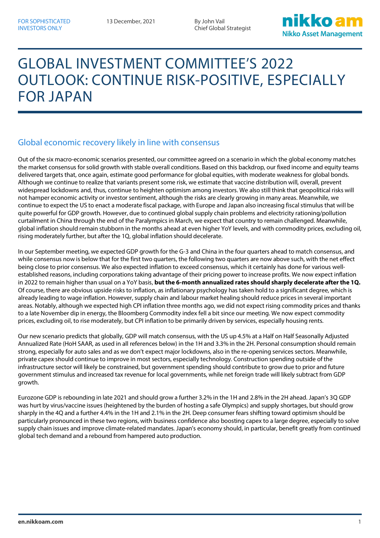# GLOBAL INVESTMENT COMMITTEE'S 2022 OUTLOOK: CONTINUE RISK-POSITIVE, ESPECIALLY FOR JAPAN

### Global economic recovery likely in line with consensus

Out of the six macro-economic scenarios presented, our committee agreed on a scenario in which the global economy matches the market consensus for solid growth with stable overall conditions. Based on this backdrop, our fixed income and equity teams delivered targets that, once again, estimate good performance for global equities, with moderate weakness for global bonds. Although we continue to realize that variants present some risk, we estimate that vaccine distribution will, overall, prevent widespread lockdowns and, thus, continue to heighten optimism among investors. We also still think that geopolitical risks will not hamper economic activity or investor sentiment, although the risks are clearly growing in many areas. Meanwhile, we continue to expect the US to enact a moderate fiscal package, with Europe and Japan also increasing fiscal stimulus that will be quite powerful for GDP growth. However, due to continued global supply chain problems and electricity rationing/pollution curtailment in China through the end of the Paralympics in March, we expect that country to remain challenged. Meanwhile, global inflation should remain stubborn in the months ahead at even higher YoY levels, and with commodity prices, excluding oil, rising moderately further, but after the 1Q, global inflation should decelerate.

In our September meeting, we expected GDP growth for the G-3 and China in the four quarters ahead to match consensus, and while consensus now is below that for the first two quarters, the following two quarters are now above such, with the net effect being close to prior consensus. We also expected inflation to exceed consensus, which it certainly has done for various wellestablished reasons, including corporations taking advantage of their pricing power to increase profits. We now expect inflation in 2022 to remain higher than usual on a YoY basis, **but the 6-month annualized rates should sharply decelerate after the 1Q.**  Of course, there are obvious upside risks to inflation, as inflationary psychology has taken hold to a significant degree, which is already leading to wage inflation. However, supply chain and labour market healing should reduce prices in several important areas. Notably, although we expected high CPI inflation three months ago, we did not expect rising commodity prices and thanks to a late November dip in energy, the Bloomberg Commodity index fell a bit since our meeting. We now expect commodity prices, excluding oil, to rise moderately, but CPI inflation to be primarily driven by services, especially housing rents.

Our new scenario predicts that globally, GDP will match consensus, with the US up 4.5% at a Half on Half Seasonally Adjusted Annualized Rate (HoH SAAR, as used in all references below) in the 1H and 3.3% in the 2H. Personal consumption should remain strong, especially for auto sales and as we don't expect major lockdowns, also in the re-opening services sectors. Meanwhile, private capex should continue to improve in most sectors, especially technology. Construction spending outside of the infrastructure sector will likely be constrained, but government spending should contribute to grow due to prior and future government stimulus and increased tax revenue for local governments, while net foreign trade will likely subtract from GDP growth.

Eurozone GDP is rebounding in late 2021 and should grow a further 3.2% in the 1H and 2.8% in the 2H ahead. Japan's 3Q GDP was hurt by virus/vaccine issues (heightened by the burden of hosting a safe Olympics) and supply shortages, but should grow sharply in the 4Q and a further 4.4% in the 1H and 2.1% in the 2H. Deep consumer fears shifting toward optimism should be particularly pronounced in these two regions, with business confidence also boosting capex to a large degree, especially to solve supply chain issues and improve climate-related mandates. Japan's economy should, in particular, benefit greatly from continued global tech demand and a rebound from hampered auto production.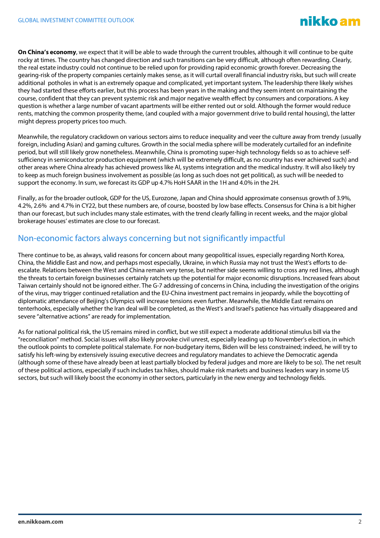**On China's economy**, we expect that it will be able to wade through the current troubles, although it will continue to be quite rocky at times. The country has changed direction and such transitions can be very difficult, although often rewarding. Clearly, the real estate industry could not continue to be relied upon for providing rapid economic growth forever. Decreasing the gearing-risk of the property companies certainly makes sense, as it will curtail overall financial industry risks, but such will create additional potholes in what is an extremely opaque and complicated, yet important system. The leadership there likely wishes they had started these efforts earlier, but this process has been years in the making and they seem intent on maintaining the course, confident that they can prevent systemic risk and major negative wealth effect by consumers and corporations. A key question is whether a large number of vacant apartments will be either rented out or sold. Although the former would reduce rents, matching the common prosperity theme, (and coupled with a major government drive to build rental housing), the latter might depress property prices too much.

Meanwhile, the regulatory crackdown on various sectors aims to reduce inequality and veer the culture away from trendy (usually foreign, including Asian) and gaming cultures. Growth in the social media sphere will be moderately curtailed for an indefinite period, but will still likely grow nonetheless. Meanwhile, China is promoting super-high technology fields so as to achieve selfsufficiency in semiconductor production equipment (which will be extremely difficult, as no country has ever achieved such) and other areas where China already has achieved prowess like AI, systems integration and the medical industry. It will also likely try to keep as much foreign business involvement as possible (as long as such does not get political), as such will be needed to support the economy. In sum, we forecast its GDP up 4.7% HoH SAAR in the 1H and 4.0% in the 2H.

Finally, as for the broader outlook, GDP for the US, Eurozone, Japan and China should approximate consensus growth of 3.9%, 4.2%, 2.6% and 4.7% in CY22, but these numbers are, of course, boosted by low base effects. Consensus for China is a bit higher than our forecast, but such includes many stale estimates, with the trend clearly falling in recent weeks, and the major global brokerage houses' estimates are close to our forecast.

#### Non-economic factors always concerning but not significantly impactful

There continue to be, as always, valid reasons for concern about many geopolitical issues, especially regarding North Korea, China, the Middle East and now, and perhaps most especially, Ukraine, in which Russia may not trust the West's efforts to deescalate. Relations between the West and China remain very tense, but neither side seems willing to cross any red lines, although the threats to certain foreign businesses certainly ratchets up the potential for major economic disruptions. Increased fears about Taiwan certainly should not be ignored either. The G-7 addressing of concerns in China, including the investigation of the origins of the virus, may trigger continued retaliation and the EU-China investment pact remains in jeopardy, while the boycotting of diplomatic attendance of Beijing's Olympics will increase tensions even further. Meanwhile, the Middle East remains on tenterhooks, especially whether the Iran deal will be completed, as the West's and Israel's patience has virtually disappeared and severe "alternative actions" are ready for implementation.

As for national political risk, the US remains mired in conflict, but we still expect a moderate additional stimulus bill via the "reconciliation" method. Social issues will also likely provoke civil unrest, especially leading up to November's election, in which the outlook points to complete political stalemate. For non-budgetary items, Biden will be less constrained; indeed, he will try to satisfy his left-wing by extensively issuing executive decrees and regulatory mandates to achieve the Democratic agenda (although some of these have already been at least partially blocked by federal judges and more are likely to be so). The net result of these political actions, especially if such includes tax hikes, should make risk markets and business leaders wary in some US sectors, but such will likely boost the economy in other sectors, particularly in the new energy and technology fields.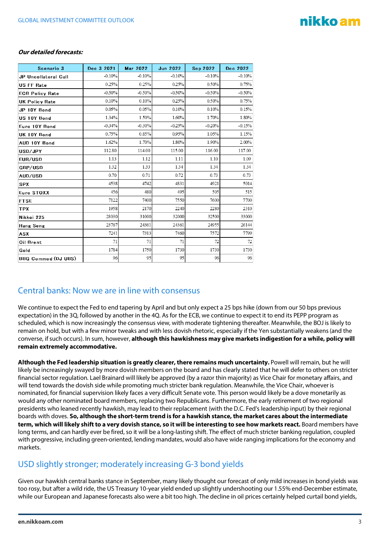## nikko am

#### **Our detailed forecasts:**

| Scenario 3             | Dec 3 2021 | <b>Mar 2022</b> | <b>Jun 2022</b> | <b>Sep 2022</b> | Dec 2022 |
|------------------------|------------|-----------------|-----------------|-----------------|----------|
| JP Uncollateral Call   | $-0.10%$   | $-0.10%$        | $-0.10%$        | $-0.10%$        | $-0.10%$ |
| <b>US FF Rate</b>      | 0.25%      | 0.25%           | 0.25%           | 0.50%           | 0.75%    |
| <b>ECB Policy Rate</b> | $-0.50%$   | $-0.50%$        | $-0.50%$        | $-0.50%$        | $-0.50%$ |
| <b>UK Policy Rate</b>  | 0.10%      | 0.10%           | 0.25%           | 0.50%           | 0.75%    |
| JP 10Y Bond            | 0.05%      | 0.05%           | 0.10%           | 0.10%           | 0.15%    |
| US 10Y Bond            | 1.34%      | 1.50%           | 1.60%           | 1.70%           | 1.80%    |
| Euro 10Y Bond          | $-0.34%$   | $-0.30%$        | $-0.25%$        | $-0.20%$        | $-0.15%$ |
| UK 10Y Bond            | 0.75%      | 0.85%           | 0.95%           | 1.05%           | 1.15%    |
| AUD 10Y Bond           | 1.62%      | 1.70%           | 1.80%           | 1.90%           | 2.00%    |
| USD/JPY                | 112.80     | 114.00          | 115.00          | 116.00          | 117.00   |
| EUR/USD                | 1.13       | 1.12            | 1.11            | 1.10            | 1.09     |
| GBP/USD                | 1.32       | 1.33            | 1.34            | 1.34            | 1.34     |
| AUD/USD                | 0.70       | 0.71            | 0.72            | 0.73            | 0.73     |
| <b>SPX</b>             | 4538       | 4742            | 4831            | 4921            | 5014     |
| Euro STOXX             | 456        | 480             | 495             | 505             | 515      |
| <b>FTSE</b>            | 7122       | 7400            | 7550            | 7600            | 7700     |
| <b>TPX</b>             | 1958       | 2170            | 2240            | 2280            | 2310     |
| Nikkei 225             | 28030      | 31000           | 32000           | 32500           | 33000    |
| Hang Seng              | 23767      | 24361           | 24361           | 24955           | 26144    |
| ASX                    | 7241       | 7313            | 7460            | 7572            | 7799     |
| Oil Brent              | 71         | 71              | 71              | 72              | 72       |
| Gold                   | 1784       | 1750            | 1730            | 1730            | 1730     |
| BBG Commod (DJ UBS)    | 96         | 95              | 95              | 96              | 96       |

#### Central banks: Now we are in line with consensus

We continue to expect the Fed to end tapering by April and but only expect a 25 bps hike (down from our 50 bps previous expectation) in the 3Q, followed by another in the 4Q. As for the ECB, we continue to expect it to end its PEPP program as scheduled, which is now increasingly the consensus view, with moderate tightening thereafter. Meanwhile, the BOJ is likely to remain on hold, but with a few minor tweaks and with less dovish rhetoric, especially if the Yen substantially weakens (and the converse, if such occurs). In sum, however, **although this hawkishness may give markets indigestion for a while, policy will remain extremely accommodative.**

**Although the Fed leadership situation is greatly clearer, there remains much uncertainty.** Powell will remain, but he will likely be increasingly swayed by more dovish members on the board and has clearly stated that he will defer to others on stricter financial sector regulation. Lael Brainard will likely be approved (by a razor thin majority) as Vice Chair for monetary affairs, and will tend towards the dovish side while promoting much stricter bank regulation. Meanwhile, the Vice Chair, whoever is nominated, for financial supervision likely faces a very difficult Senate vote. This person would likely be a dove monetarily as would any other nominated board members, replacing two Republicans. Furthermore, the early retirement of two regional presidents who leaned recently hawkish, may lead to their replacement (with the D.C. Fed's leadership input) by their regional boards with doves. **So, although the short-term trend is for a hawkish stance, the market cares about the intermediate term, which will likely shift to a very dovish stance, so it will be interesting to see how markets react.** Board members have long terms, and can hardly ever be fired, so it will be a long-lasting shift. The effect of much stricter banking regulation, coupled with progressive, including green-oriented, lending mandates, would also have wide ranging implications for the economy and markets.

#### USD slightly stronger; moderately increasing G-3 bond yields

Given our hawkish central banks stance in September, many likely thought our forecast of only mild increases in bond yields was too rosy, but after a wild ride, the US Treasury 10-year yield ended up slightly undershooting our 1.55% end-December estimate, while our European and Japanese forecasts also were a bit too high. The decline in oil prices certainly helped curtail bond yields,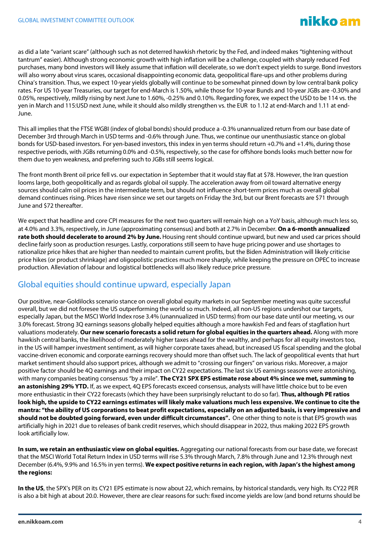as did a late "variant scare" (although such as not deterred hawkish rhetoric by the Fed, and indeed makes "tightening without tantrum" easier). Although strong economic growth with high inflation will be a challenge, coupled with sharply reduced Fed purchases, many bond investors will likely assume that inflation will decelerate, so we don't expect yields to surge. Bond investors will also worry about virus scares, occasional disappointing economic data, geopolitical flare-ups and other problems during China's transition. Thus, we expect 10-year yields globally will continue to be somewhat pinned down by low central bank policy rates. For US 10-year Treasuries, our target for end-March is 1.50%, while those for 10-year Bunds and 10-year JGBs are -0.30% and 0.05%, respectively, mildly rising by next June to 1.60%, -0.25% and 0.10%. Regarding forex, we expect the USD to be 114 vs. the yen in March and 115:USD next June, while it should also mildly strengthen vs. the EUR to 1.12 at end-March and 1.11 at end-June.

This all implies that the FTSE WGBI (index of global bonds) should produce a -0.3% unannualized return from our base date of December 3rd through March in USD terms and -0.6% through June. Thus, we continue our unenthusiastic stance on global bonds for USD-based investors. For yen-based investors, this index in yen terms should return +0.7% and +1.4%, during those respective periods, with JGBs returning 0.0% and -0.5%, respectively, so the case for offshore bonds looks much better now for them due to yen weakness, and preferring such to JGBs still seems logical.

The front month Brent oil price fell vs. our expectation in September that it would stay flat at \$78. However, the Iran question looms large, both geopolitically and as regards global oil supply. The acceleration away from oil toward alternative energy sources should calm oil prices in the intermediate term, but should not influence short-term prices much as overall global demand continues rising. Prices have risen since we set our targets on Friday the 3rd, but our Brent forecasts are \$71 through June and \$72 thereafter.

We expect that headline and core CPI measures for the next two quarters will remain high on a YoY basis, although much less so, at 4.0% and 3.3%, respectively, in June (approximating consensus) and both at 2.7% in December. **On a 6-month annualized rate both should decelerate to around 2% by June.** Housing rent should continue upward, but new and used car prices should decline fairly soon as production resurges. Lastly, corporations still seem to have huge pricing power and use shortages to rationalize price hikes that are higher than needed to maintain current profits, but the Biden Administration will likely criticise price hikes (or product shrinkage) and oligopolistic practices much more sharply, while keeping the pressure on OPEC to increase production. Alleviation of labour and logistical bottlenecks will also likely reduce price pressure.

#### Global equities should continue upward, especially Japan

Our positive, near-Goldilocks scenario stance on overall global equity markets in our September meeting was quite successful overall, but we did not foresee the US outperforming the world so much. Indeed, all non-US regions undershot our targets, especially Japan, but the MSCI World Index rose 3.4% (unannualized in USD terms) from our base date until our meeting, vs our 3.0% forecast. Strong 3Q earnings seasons globally helped equities although a more hawkish Fed and fears of stagflation hurt valuations moderately. **Our new scenario forecasts a solid return for global equities in the quarters ahead.** Along with more hawkish central banks, the likelihood of moderately higher taxes ahead for the wealthy, and perhaps for all equity investors too, in the US will hamper investment sentiment, as will higher corporate taxes ahead, but increased US fiscal spending and the global vaccine-driven economic and corporate earnings recovery should more than offset such. The lack of geopolitical events that hurt market sentiment should also support prices, although we admit to "crossing our fingers" on various risks. Moreover, a major positive factor should be 4Q earnings and their impact on CY22 expectations. The last six US earnings seasons were astonishing, with many companies beating consensus "by a mile". **The CY21 SPX EPS estimate rose about 4% since we met, summing to an astonishing 29% YTD.** If, as we expect, 4Q EPS forecasts exceed consensus, analysts will have little choice but to be even more enthusiastic in their CY22 forecasts (which they have been surprisingly reluctant to do so far). **Thus, although PE ratios look high, the upside to CY22 earnings estimates will likely make valuations much less expensive. We continue to cite the mantra: "the ability of US corporations to beat profit expectations, especially on an adjusted basis, is very impressive and should not be doubted going forward, even under difficult circumstances".** One other thing to note is that EPS growth was artificially high in 2021 due to releases of bank credit reserves, which should disappear in 2022, thus making 2022 EPS growth look artificially low.

**In sum, we retain an enthusiastic view on global equities.** Aggregating our national forecasts from our base date, we forecast that the MSCI World Total Return Index in USD terms will rise 5.3% through March, 7.8% through June and 12.3% through next December (6.4%, 9.9% and 16.5% in yen terms). **We expect positive returns in each region, with Japan's the highest among the regions:**

**In the US**, the SPX's PER on its CY21 EPS estimate is now about 22, which remains, by historical standards, very high. Its CY22 PER is also a bit high at about 20.0. However, there are clear reasons for such: fixed income yields are low (and bond returns should be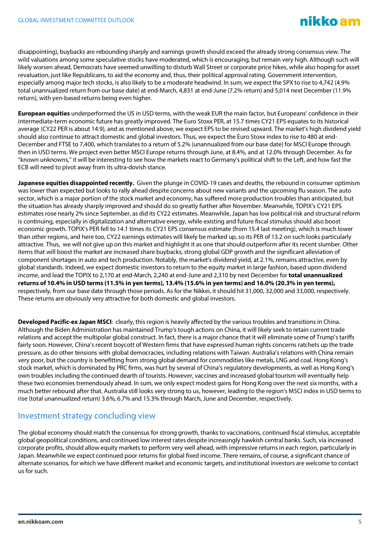### nikko am

disappointing), buybacks are rebounding sharply and earnings growth should exceed the already strong consensus view. The wild valuations among some speculative stocks have moderated, which is encouraging, but remain very high. Although such will likely worsen ahead, Democrats have seemed unwilling to disturb Wall Street or corporate price hikes, while also hoping for asset revaluation, just like Republicans, to aid the economy and, thus, their political approval rating. Government intervention, especially among major tech stocks, is also likely to be a moderate headwind. In sum, we expect the SPX to rise to 4,742 (4.9% total unannualized return from our base date) at end-March, 4,831 at end-June (7.2% return) and 5,014 next December (11.9% return), with yen-based returns being even higher.

**European equities** underperformed the US in USD terms, with the weak EUR the main factor, but Europeans' confidence in their intermediate-term economic future has greatly improved. The Euro Stoxx PER, at 15.7 times CY21 EPS equates to its historical average (CY22 PER is about 14.9), and as mentioned above, we expect EPS to be revised upward. The market's high dividend yield should also continue to attract domestic and global investors. Thus, we expect the Euro Stoxx index to rise to 480 at end-December and FTSE to 7,400, which translates to a return of 5.2% (unannualized from our base date) for MSCI Europe through then in USD terms. We project even better MSCI Europe returns through June, at 8.4%, and at 12.0% through December. As for "known unknowns," it will be interesting to see how the markets react to Germany's political shift to the Left, and how fast the ECB will need to pivot away from its ultra-dovish stance.

**Japanese equities disappointed recently.** Given the plunge in COVID-19 cases and deaths, the rebound in consumer optimism was lower than expected but looks to rally ahead despite concerns about new variants and the upcoming flu season. The auto sector, which is a major portion of the stock market and economy, has suffered more production troubles than anticipated, but the situation has already sharply improved and should do so greatly further after November. Meanwhile, TOPIX's CY21 EPS estimates rose nearly 2% since September, as did its CY22 estimates. Meanwhile, Japan has low political risk and structural reform is continuing, especially in digitalization and alternative energy, while existing and future fiscal stimulus should also boost economic growth. TOPIX's PER fell to 14.1 times its CY21 EPS consensus estimate (from 15.4 last meeting), which is much lower than other regions, and here too, CY22 earnings estimates will likely be marked up, so its PER of 13.2 on such looks particularly attractive. Thus, we will not give up on this market and highlight it as one that should outperform after its recentslumber. Other items that will boost the market are increased share buybacks, strong global GDP growth and the significant alleviation of component shortages in auto and tech production. Notably, the market's dividend yield, at 2.1%, remains attractive, even by global standards. Indeed, we expect domestic investors to return to the equity market in large fashion, based upon dividend income, and lead the TOPIX to 2,170 at end-March, 2,240 at end-June and 2,310 by next December for **total unannualized returns of 10.4% in USD terms (11.5% in yen terms), 13.4% (15.6% in yen terms) and 16.0% (20.3% in yen terms),** respectively, from our base date through those periods. As for the Nikkei, it should hit 31,000, 32,000 and 33,000, respectively. These returns are obviously very attractive for both domestic and global investors.

**Developed Pacific-ex Japan MSCI**: clearly, this region is heavily affected by the various troubles and transitions in China. Although the Biden Administration has maintained Trump's tough actions on China, it will likely seek to retain current trade relations and accept the multipolar global construct. In fact, there is a major chance that it will eliminate some of Trump's tariffs fairly soon. However, China's recent boycott of Western firms that have expressed human rights concerns ratchets up the trade pressure, as do other tensions with global democracies, including relations with Taiwan. Australia's relations with China remain very poor, but the country is benefitting from strong global demand for commodities like metals, LNG and coal. Hong Kong's stock market, which is dominated by PRC firms, was hurt by several of China's regulatory developments, as well as Hong Kong's own troubles including the continued dearth of tourists. However, vaccines and increased global tourism will eventually help these two economies tremendously ahead. In sum, we only expect modest gains for Hong Kong over the next six months, with a much better rebound after that. Australia still looks very strong to us, however, leading to the region's MSCI index in USD terms to rise (total unannualized return) 3.6%, 6.7% and 15.3% through March, June and December, respectively.

#### Investment strategy concluding view

The global economy should match the consensus for strong growth, thanks to vaccinations, continued fiscal stimulus, acceptable global geopolitical conditions, and continued low interest rates despite increasingly hawkish central banks. Such, via increased corporate profits, should allow equity markets to perform very well ahead, with impressive returns in each region, particularly in Japan. Meanwhile we expect continued poor returns for global fixed income. There remains, of course, a significant chance of alternate scenarios, for which we have different market and economic targets, and institutional investors are welcome to contact us for such.